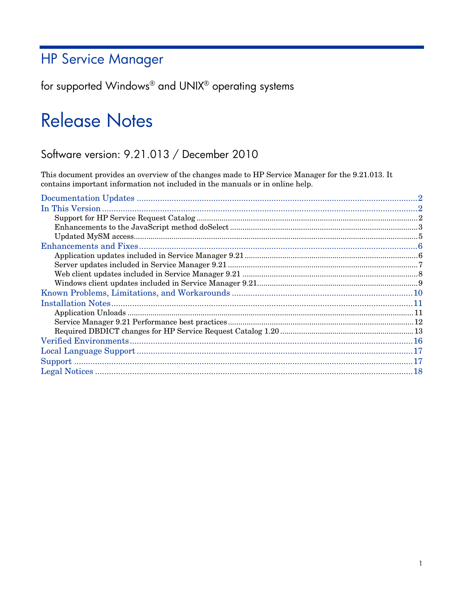# **HP Service Manager**

for supported Windows® and UNIX® operating systems

# **Release Notes**

## Software version: 9.21.013 / December 2010

This document provides an overview of the changes made to HP Service Manager for the 9.21.013. It contains important information not included in the manuals or in online help.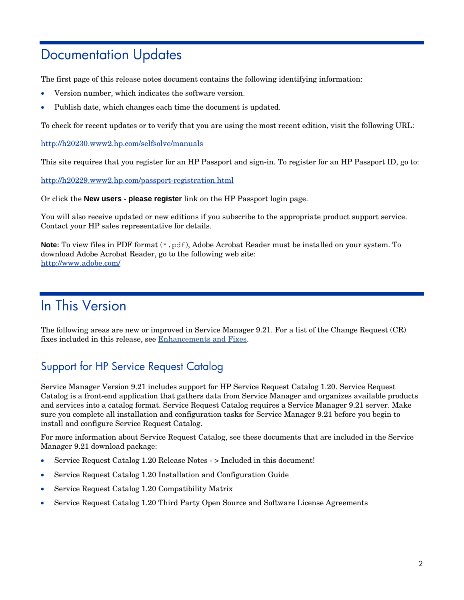# <span id="page-1-0"></span>Documentation Updates

The first page of this release notes document contains the following identifying information:

- Version number, which indicates the software version.
- Publish date, which changes each time the document is updated.

To check for recent updates or to verify that you are using the most recent edition, visit the following URL:

<http://h20230.www2.hp.com/selfsolve/manuals>

This site requires that you register for an HP Passport and sign-in. To register for an HP Passport ID, go to:

<http://h20229.www2.hp.com/passport-registration.html>

Or click the **New users - please register** link on the HP Passport login page.

You will also receive updated or new editions if you subscribe to the appropriate product support service. Contact your HP sales representative for details.

**Note:** To view files in PDF format (\*.pdf), Adobe Acrobat Reader must be installed on your system. To download Adobe Acrobat Reader, go to the following web site: <http://www.adobe.com/>

# <span id="page-1-1"></span>In This Version

The following areas are new or improved in Service Manager 9.21. For a list of the Change Request (CR) fixes included in this release, see [Enhancements and](#page-5-0) Fixes.

## <span id="page-1-2"></span>Support for HP Service Request Catalog

Service Manager Version 9.21 includes support for HP Service Request Catalog 1.20. Service Request Catalog is a front-end application that gathers data from Service Manager and organizes available products and services into a catalog format. Service Request Catalog requires a Service Manager 9.21 server. Make sure you complete all installation and configuration tasks for Service Manager 9.21 before you begin to install and configure Service Request Catalog.

For more information about Service Request Catalog, see these documents that are included in the Service Manager 9.21 download package:

- Service Request Catalog 1.20 Release Notes > Included in this document!
- Service Request Catalog 1.20 Installation and Configuration Guide
- Service Request Catalog 1.20 Compatibility Matrix
- Service Request Catalog 1.20 Third Party Open Source and Software License Agreements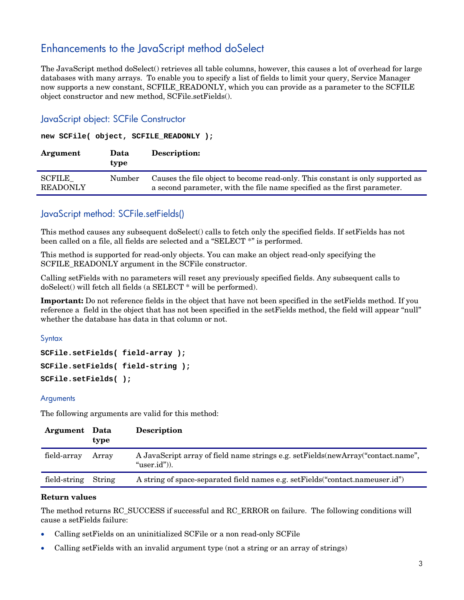## <span id="page-2-0"></span>Enhancements to the JavaScript method doSelect

The JavaScript method doSelect() retrieves all table columns, however, this causes a lot of overhead for large databases with many arrays. To enable you to specify a list of fields to limit your query, Service Manager now supports a new constant, SCFILE\_READONLY, which you can provide as a parameter to the SCFILE object constructor and new method, SCFile.setFields().

### JavaScript object: SCFile Constructor

#### **new SCFile( object, SCFILE\_READONLY );**

| Argument                  | Data<br>type | Description:                                                                                                                                               |
|---------------------------|--------------|------------------------------------------------------------------------------------------------------------------------------------------------------------|
| SCFILE<br><b>READONLY</b> | Number       | Causes the file object to become read-only. This constant is only supported as<br>a second parameter, with the file name specified as the first parameter. |

## JavaScript method: SCFile.setFields()

This method causes any subsequent doSelect() calls to fetch only the specified fields. If setFields has not been called on a file, all fields are selected and a "SELECT \*" is performed.

This method is supported for read-only objects. You can make an object read-only specifying the SCFILE\_READONLY argument in the SCFile constructor.

Calling setFields with no parameters will reset any previously specified fields. Any subsequent calls to doSelect() will fetch all fields (a SELECT \* will be performed).

**Important:** Do not reference fields in the object that have not been specified in the setFields method. If you reference a field in the object that has not been specified in the setFields method, the field will appear "null" whether the database has data in that column or not.

**Syntax** 

```
SCFile.setFields( field-array );
SCFile.setFields( field-string );
SCFile.setFields( );
```
### **Arguments**

The following arguments are valid for this method:

| Argument Data | type   | <b>Description</b>                                                                                     |
|---------------|--------|--------------------------------------------------------------------------------------------------------|
| field-array   | Arrav  | A JavaScript array of field name strings e.g. setFields (new Array "contact.name",<br>" $user.id")$ ). |
| field-string  | String | A string of space-separated field names e.g. set Fields ("contact.nameuser.id")                        |

#### **Return values**

The method returns RC\_SUCCESS if successful and RC\_ERROR on failure. The following conditions will cause a setFields failure:

- Calling setFields on an uninitialized SCFile or a non read-only SCFile
- Calling setFields with an invalid argument type (not a string or an array of strings)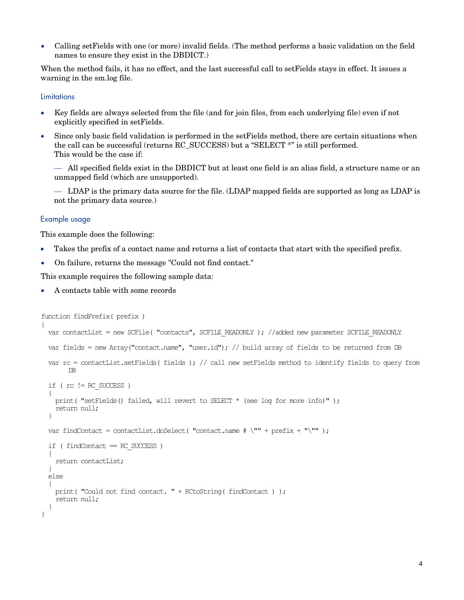• Calling setFields with one (or more) invalid fields. (The method performs a basic validation on the field names to ensure they exist in the DBDICT.)

When the method fails, it has no effect, and the last successful call to setFields stays in effect. It issues a warning in the sm.log file.

#### **Limitations**

- Key fields are always selected from the file (and for join files, from each underlying file) even if not explicitly specified in setFields.
- Since only basic field validation is performed in the setFields method, there are certain situations when the call can be successful (returns RC\_SUCCESS) but a "SELECT \*" is still performed. This would be the case if:

— All specified fields exist in the DBDICT but at least one field is an alias field, a structure name or an unmapped field (which are unsupported).

— LDAP is the primary data source for the file. (LDAP mapped fields are supported as long as LDAP is not the primary data source.)

#### Example usage

This example does the following:

- Takes the prefix of a contact name and returns a list of contacts that start with the specified prefix.
- On failure, returns the message "Could not find contact."

This example requires the following sample data:

• A contacts table with some records

```
function findPrefix( prefix ) 
{ 
 var contactList = new SCFile( "contacts", SCFILE READONLY ); //added new parameter SCFILE READONLY
  var fields = new Array("contact.name", "user.id"); // build array of fields to be returned from DB 
 var rc = contactList.setFields( fields ); // call new setFields method to identify fields to query from DB
DB 
 if ( rc != RC SUCCESS )
   print( "setFields() failed, will revert to SELECT * (see log for more info)" );
  return null;<br>}
 var findContact = contactList.doSelect( "contact.name \# \Psi'''' + \text{prefix} + \Psi'''' );
 if ( findContext = RC SUCCESS )
   { 
  return contactList;
  else
   { 
   print( "Could not find contact. " + RCtoString( findContact ) );
   return null;
}
```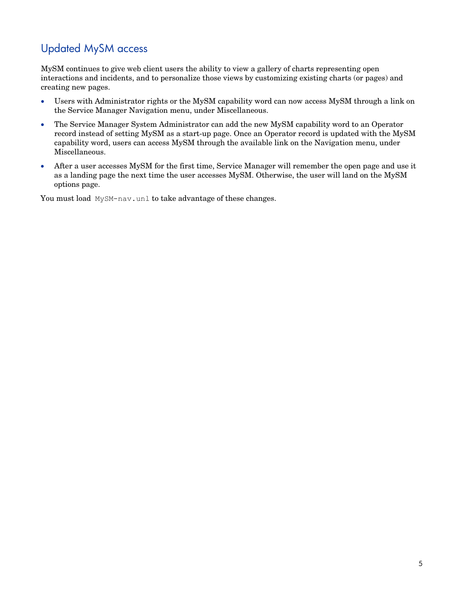## <span id="page-4-0"></span>Updated MySM access

MySM continues to give web client users the ability to view a gallery of charts representing open interactions and incidents, and to personalize those views by customizing existing charts (or pages) and creating new pages.

- Users with Administrator rights or the MySM capability word can now access MySM through a link on the Service Manager Navigation menu, under Miscellaneous.
- The Service Manager System Administrator can add the new MySM capability word to an Operator record instead of setting MySM as a start-up page. Once an Operator record is updated with the MySM capability word, users can access MySM through the available link on the Navigation menu, under Miscellaneous.
- After a user accesses MySM for the first time, Service Manager will remember the open page and use it as a landing page the next time the user accesses MySM. Otherwise, the user will land on the MySM options page.

You must load MySM-nav.unl to take advantage of these changes.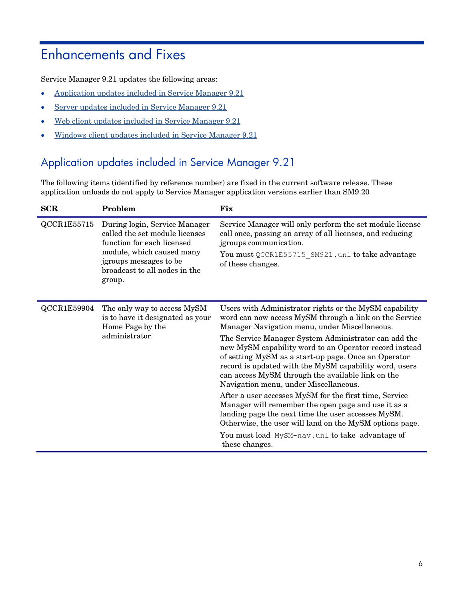# <span id="page-5-0"></span>Enhancements and Fixes

Service Manager 9.21 updates the following areas:

- Application [updates included in](#page-5-1) Service Manager 9.21
- Server [updates included in](#page-5-1) Service Manager 9.21
- Web client updates included in Service [Manager](#page-6-1) 9.21
- Windows client [updates included in](#page-8-0) Service Manager 9.21

## <span id="page-5-1"></span>Application updates included in Service Manager 9.21

The following items (identified by reference number) are fixed in the current software release. These application unloads do not apply to Service Manager application versions earlier than SM9.20

| <b>SCR</b>  | Problem                                                                                                                                                                                         | <b>Fix</b>                                                                                                                                                                                                                                                                                                                                                                                                                                                                                                                                                                                                                                                                                                                                                                                                 |
|-------------|-------------------------------------------------------------------------------------------------------------------------------------------------------------------------------------------------|------------------------------------------------------------------------------------------------------------------------------------------------------------------------------------------------------------------------------------------------------------------------------------------------------------------------------------------------------------------------------------------------------------------------------------------------------------------------------------------------------------------------------------------------------------------------------------------------------------------------------------------------------------------------------------------------------------------------------------------------------------------------------------------------------------|
| QCCR1E55715 | During login, Service Manager<br>called the set module licenses<br>function for each licensed<br>module, which caused many<br>jgroups messages to be<br>broadcast to all nodes in the<br>group. | Service Manager will only perform the set module license<br>call once, passing an array of all licenses, and reducing<br>jgroups communication.<br>You must QCCR1E55715 SM921.unl to take advantage<br>of these changes.                                                                                                                                                                                                                                                                                                                                                                                                                                                                                                                                                                                   |
| QCCR1E59904 | The only way to access MySM<br>is to have it designated as your<br>Home Page by the<br>administrator.                                                                                           | Users with Administrator rights or the MySM capability<br>word can now access MySM through a link on the Service<br>Manager Navigation menu, under Miscellaneous.<br>The Service Manager System Administrator can add the<br>new MySM capability word to an Operator record instead<br>of setting MySM as a start-up page. Once an Operator<br>record is updated with the MySM capability word, users<br>can access MySM through the available link on the<br>Navigation menu, under Miscellaneous.<br>After a user accesses MySM for the first time, Service<br>Manager will remember the open page and use it as a<br>landing page the next time the user accesses MySM.<br>Otherwise, the user will land on the MySM options page.<br>You must load MySM-nav.unl to take advantage of<br>these changes. |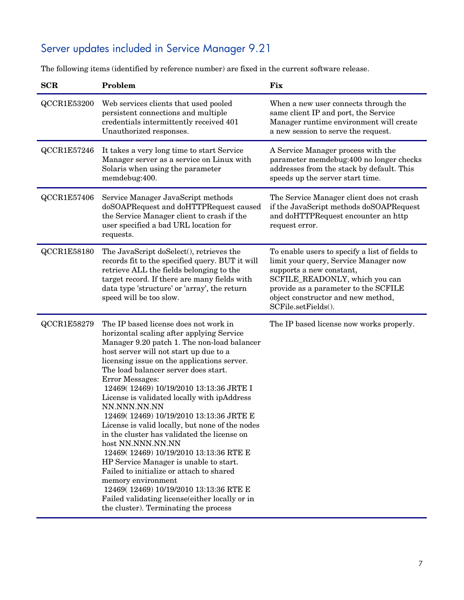# <span id="page-6-0"></span>Server updates included in Service Manager 9.21

The following items (identified by reference number) are fixed in the current software release.

<span id="page-6-1"></span>

| <b>SCR</b>  | Problem                                                                                                                                                                                                                                                                                                                                                                                                                                                                                                                                                                                                                                                                                                                                                                                                                                                      | Fix                                                                                                                                                                                                                                                        |
|-------------|--------------------------------------------------------------------------------------------------------------------------------------------------------------------------------------------------------------------------------------------------------------------------------------------------------------------------------------------------------------------------------------------------------------------------------------------------------------------------------------------------------------------------------------------------------------------------------------------------------------------------------------------------------------------------------------------------------------------------------------------------------------------------------------------------------------------------------------------------------------|------------------------------------------------------------------------------------------------------------------------------------------------------------------------------------------------------------------------------------------------------------|
| QCCR1E53200 | Web services clients that used pooled<br>persistent connections and multiple<br>credentials intermittently received 401<br>Unauthorized responses.                                                                                                                                                                                                                                                                                                                                                                                                                                                                                                                                                                                                                                                                                                           | When a new user connects through the<br>same client IP and port, the Service<br>Manager runtime environment will create<br>a new session to serve the request.                                                                                             |
| QCCR1E57246 | It takes a very long time to start Service<br>Manager server as a service on Linux with<br>Solaris when using the parameter<br>memdebug:400.                                                                                                                                                                                                                                                                                                                                                                                                                                                                                                                                                                                                                                                                                                                 | A Service Manager process with the<br>parameter memdebug:400 no longer checks<br>addresses from the stack by default. This<br>speeds up the server start time.                                                                                             |
| QCCR1E57406 | Service Manager JavaScript methods<br>doSOAPRequest and doHTTPRequest caused<br>the Service Manager client to crash if the<br>user specified a bad URL location for<br>requests.                                                                                                                                                                                                                                                                                                                                                                                                                                                                                                                                                                                                                                                                             | The Service Manager client does not crash<br>if the JavaScript methods doSOAPRequest<br>and doHTTPRequest encounter an http<br>request error.                                                                                                              |
| QCCR1E58180 | The JavaScript doSelect(), retrieves the<br>records fit to the specified query. BUT it will<br>retrieve ALL the fields belonging to the<br>target record. If there are many fields with<br>data type 'structure' or 'array', the return<br>speed will be too slow.                                                                                                                                                                                                                                                                                                                                                                                                                                                                                                                                                                                           | To enable users to specify a list of fields to<br>limit your query, Service Manager now<br>supports a new constant,<br>SCFILE_READONLY, which you can<br>provide as a parameter to the SCFILE<br>object constructor and new method,<br>SCFile.setFields(). |
| QCCR1E58279 | The IP based license does not work in<br>horizontal scaling after applying Service<br>Manager 9.20 patch 1. The non-load balancer<br>host server will not start up due to a<br>licensing issue on the applications server.<br>The load balancer server does start.<br>Error Messages:<br>12469(12469) 10/19/2010 13:13:36 JRTE I<br>License is validated locally with ipAddress<br>NN.NNN.NN.NN<br>12469(12469) 10/19/2010 13:13:36 JRTE E<br>License is valid locally, but none of the nodes<br>in the cluster has validated the license on<br>host NN.NNN.NN.NN<br>12469(12469) 10/19/2010 13:13:36 RTE E<br>HP Service Manager is unable to start.<br>Failed to initialize or attach to shared<br>memory environment<br>12469(12469) 10/19/2010 13:13:36 RTE E<br>Failed validating license(either locally or in<br>the cluster). Terminating the process | The IP based license now works properly.                                                                                                                                                                                                                   |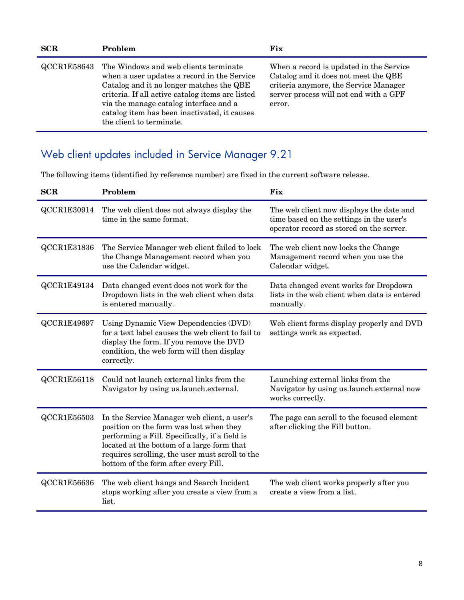| SCR         | Problem                                                                                                                                                                                                                                                                                                    | Fix                                                                                                                                                                          |
|-------------|------------------------------------------------------------------------------------------------------------------------------------------------------------------------------------------------------------------------------------------------------------------------------------------------------------|------------------------------------------------------------------------------------------------------------------------------------------------------------------------------|
| QCCR1E58643 | The Windows and web clients terminate<br>when a user updates a record in the Service<br>Catalog and it no longer matches the QBE<br>criteria. If all active catalog items are listed<br>via the manage catalog interface and a<br>catalog item has been inactivated, it causes<br>the client to terminate. | When a record is updated in the Service<br>Catalog and it does not meet the QBE<br>criteria anymore, the Service Manager<br>server process will not end with a GPF<br>error. |

# <span id="page-7-0"></span>Web client updates included in Service Manager 9.21

The following items (identified by reference number) are fixed in the current software release.

| SCR         | Problem                                                                                                                                                                                                                                                                           | <b>Fix</b>                                                                                                                       |
|-------------|-----------------------------------------------------------------------------------------------------------------------------------------------------------------------------------------------------------------------------------------------------------------------------------|----------------------------------------------------------------------------------------------------------------------------------|
| QCCR1E30914 | The web client does not always display the<br>time in the same format.                                                                                                                                                                                                            | The web client now displays the date and<br>time based on the settings in the user's<br>operator record as stored on the server. |
| QCCR1E31836 | The Service Manager web client failed to lock<br>the Change Management record when you<br>use the Calendar widget.                                                                                                                                                                | The web client now locks the Change<br>Management record when you use the<br>Calendar widget.                                    |
| QCCR1E49134 | Data changed event does not work for the<br>Dropdown lists in the web client when data<br>is entered manually.                                                                                                                                                                    | Data changed event works for Dropdown<br>lists in the web client when data is entered<br>manually.                               |
| QCCR1E49697 | Using Dynamic View Dependencies (DVD)<br>for a text label causes the web client to fail to<br>display the form. If you remove the DVD<br>condition, the web form will then display<br>correctly.                                                                                  | Web client forms display properly and DVD<br>settings work as expected.                                                          |
| QCCR1E56118 | Could not launch external links from the<br>Navigator by using us.launch.external.                                                                                                                                                                                                | Launching external links from the<br>Navigator by using us.launch.external now<br>works correctly.                               |
| QCCR1E56503 | In the Service Manager web client, a user's<br>position on the form was lost when they<br>performing a Fill. Specifically, if a field is<br>located at the bottom of a large form that<br>requires scrolling, the user must scroll to the<br>bottom of the form after every Fill. | The page can scroll to the focused element<br>after clicking the Fill button.                                                    |
| QCCR1E56636 | The web client hangs and Search Incident<br>stops working after you create a view from a<br>list.                                                                                                                                                                                 | The web client works properly after you<br>create a view from a list.                                                            |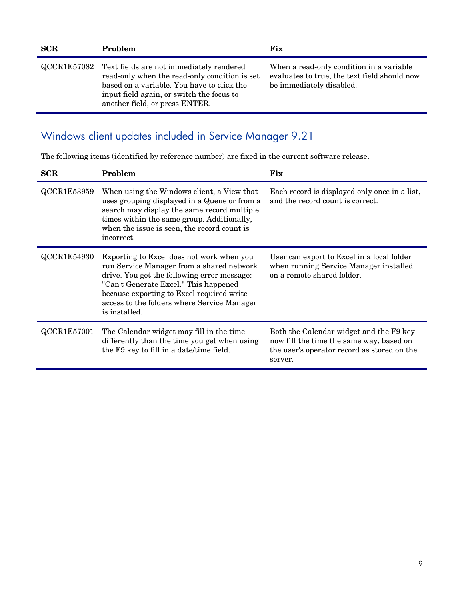| <b>SCR</b> | <b>Problem</b>                                                                                                                                                                                                                     | <b>Fix</b>                                                                                                           |
|------------|------------------------------------------------------------------------------------------------------------------------------------------------------------------------------------------------------------------------------------|----------------------------------------------------------------------------------------------------------------------|
|            | QCCR1E57082 Text fields are not immediately rendered<br>read-only when the read-only condition is set<br>based on a variable. You have to click the<br>input field again, or switch the focus to<br>another field, or press ENTER. | When a read-only condition in a variable<br>evaluates to true, the text field should now<br>be immediately disabled. |

## <span id="page-8-0"></span>Windows client updates included in Service Manager 9.21

The following items (identified by reference number) are fixed in the current software release.

| SCR         | Problem                                                                                                                                                                                                                                                                                     | Fix                                                                                                                                           |
|-------------|---------------------------------------------------------------------------------------------------------------------------------------------------------------------------------------------------------------------------------------------------------------------------------------------|-----------------------------------------------------------------------------------------------------------------------------------------------|
| QCCR1E53959 | When using the Windows client, a View that<br>uses grouping displayed in a Queue or from a<br>search may display the same record multiple<br>times within the same group. Additionally,<br>when the issue is seen, the record count is<br>incorrect.                                        | Each record is displayed only once in a list,<br>and the record count is correct.                                                             |
| QCCR1E54930 | Exporting to Excel does not work when you<br>run Service Manager from a shared network<br>drive. You get the following error message:<br>"Can't Generate Excel." This happened<br>because exporting to Excel required write<br>access to the folders where Service Manager<br>is installed. | User can export to Excel in a local folder<br>when running Service Manager installed<br>on a remote shared folder.                            |
| QCCR1E57001 | The Calendar widget may fill in the time<br>differently than the time you get when using<br>the F9 key to fill in a date/time field.                                                                                                                                                        | Both the Calendar widget and the F9 key<br>now fill the time the same way, based on<br>the user's operator record as stored on the<br>server. |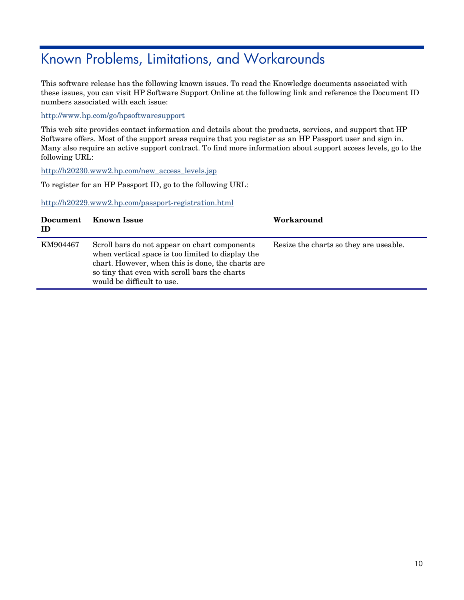# <span id="page-9-0"></span>Known Problems, Limitations, and Workarounds

This software release has the following known issues. To read the Knowledge documents associated with these issues, you can visit HP Software Support Online at the following link and reference the Document ID numbers associated with each issue:

<http://www.hp.com/go/hpsoftwaresupport>

This web site provides contact information and details about the products, services, and support that HP Software offers. Most of the support areas require that you register as an HP Passport user and sign in. Many also require an active support contract. To find more information about support access levels, go to the following URL:

[http://h20230.www2.hp.com/new\\_access\\_levels.jsp](http://h20230.www2.hp.com/new_access_levels.jsp) 

To register for an HP Passport ID, go to the following URL:

<http://h20229.www2.hp.com/passport-registration.html>

| Document<br>ID | <b>Known Issue</b>                                                                                                                                                                                                                     | Workaround                             |
|----------------|----------------------------------------------------------------------------------------------------------------------------------------------------------------------------------------------------------------------------------------|----------------------------------------|
| KM904467       | Scroll bars do not appear on chart components<br>when vertical space is too limited to display the<br>chart. However, when this is done, the charts are<br>so tiny that even with scroll bars the charts<br>would be difficult to use. | Resize the charts so they are useable. |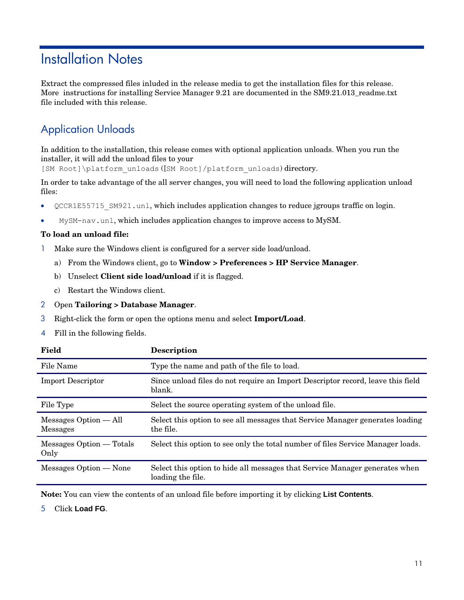# <span id="page-10-0"></span>Installation Notes

Extract the compressed files inluded in the release media to get the installation files for this release. More instructions for installing Service Manager 9.21 are documented in the SM9.21.013 readme.txt file included with this release.

## <span id="page-10-1"></span>Application Unloads

In addition to the installation, this release comes with optional application unloads. When you run the installer, it will add the unload files to your

[SM Root]\platform unloads ([SM Root]/platform unloads) directory.

In order to take advantage of the all server changes, you will need to load the following application unload files:

- QCCR1E55715\_SM921.unl, which includes application changes to reduce jgroups traffic on login.
- MySM-nav.unl, which includes application changes to improve access to MySM.

### **To load an unload file:**

- 1 Make sure the Windows client is configured for a server side load/unload.
	- a) From the Windows client, go to **Window > Preferences > HP Service Manager**.
	- b) Unselect **Client side load/unload** if it is flagged.
	- c) Restart the Windows client.

### 2 Open **Tailoring > Database Manager**.

- 3 Right-click the form or open the options menu and select **Import/Load**.
- 4 Fill in the following fields.

| Field                                      | <b>Description</b>                                                                               |
|--------------------------------------------|--------------------------------------------------------------------------------------------------|
| File Name                                  | Type the name and path of the file to load.                                                      |
| <b>Import Descriptor</b>                   | Since unload files do not require an Import Descriptor record, leave this field<br>blank.        |
| File Type                                  | Select the source operating system of the unload file.                                           |
| $Messages Option - All$<br><b>Messages</b> | Select this option to see all messages that Service Manager generates loading<br>the file.       |
| Messages Option — Totals<br>Only           | Select this option to see only the total number of files Service Manager loads.                  |
| Messages Option — None                     | Select this option to hide all messages that Service Manager generates when<br>loading the file. |

**Note:** You can view the contents of an unload file before importing it by clicking **List Contents**.

5 Click **Load FG**.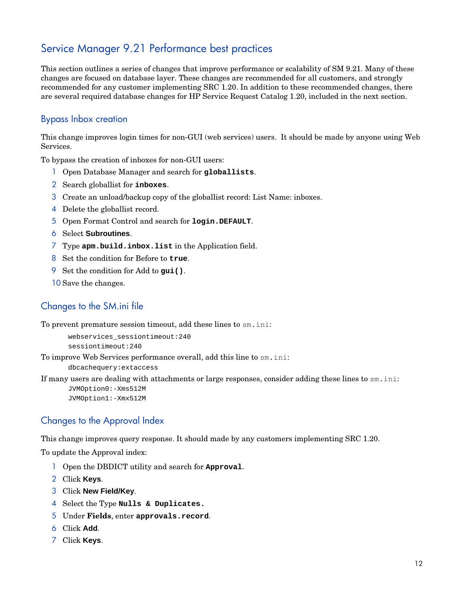## <span id="page-11-0"></span>Service Manager 9.21 Performance best practices

This section outlines a series of changes that improve performance or scalability of SM 9.21. Many of these changes are focused on database layer. These changes are recommended for all customers, and strongly recommended for any customer implementing SRC 1.20. In addition to these recommended changes, there are several required database changes for HP Service Request Catalog 1.20, included in the next section.

### Bypass Inbox creation

This change improves login times for non-GUI (web services) users. It should be made by anyone using Web Services.

To bypass the creation of inboxes for non-GUI users:

- 1 Open Database Manager and search for **globallists**.
- 2 Search globallist for **inboxes**.
- 3 Create an unload/backup copy of the globallist record: List Name: inboxes.
- 4 Delete the globallist record.
- 5 Open Format Control and search for **login.DEFAULT**.
- 6 Select **Subroutines**.
- 7 Type **apm.build.inbox.list** in the Application field.
- 8 Set the condition for Before to **true**.
- 9 Set the condition for Add to **gui()**.
- 10 Save the changes.

### Changes to the SM.ini file

To prevent premature session timeout, add these lines to sm.ini:

```
webservices_sessiontimeout:240 
sessiontimeout:240
```
To improve Web Services performance overall, add this line to sm.ini:

dbcachequery:extaccess

If many users are dealing with attachments or large responses, consider adding these lines to sm.ini:

JVMOption0:-Xms512M JVMOption1:-Xmx512M

### Changes to the Approval Index

This change improves query response. It should made by any customers implementing SRC 1.20.

To update the Approval index:

- 1 Open the DBDICT utility and search for **Approval**.
- 2 Click **Keys**.
- 3 Click **New Field/Key**.
- 4 Select the Type **Nulls & Duplicates.**
- 5 Under **Fields**, enter **approvals.record**.
- 6 Click **Add**.
- 7 Click **Keys**.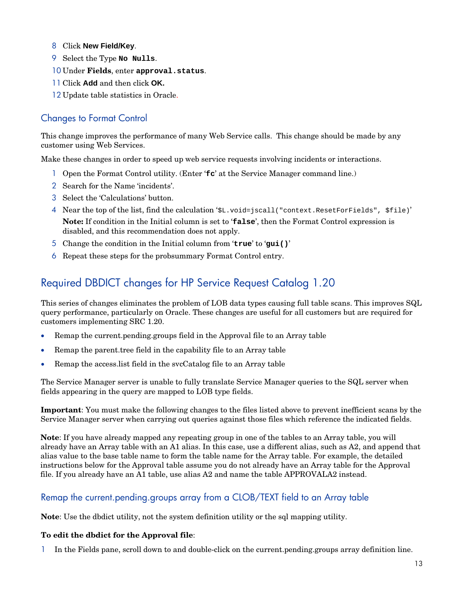- 8 Click **New Field/Key**.
- 9 Select the Type **No Nulls**.
- 10 Under **Fields**, enter **approval.status**.
- 11 Click **Add** and then click **OK.**
- 12 Update table statistics in Oracle.

### Changes to Format Control

This change improves the performance of many Web Service calls. This change should be made by any customer using Web Services.

Make these changes in order to speed up web service requests involving incidents or interactions.

- 1 Open the Format Control utility. (Enter '**fc**' at the Service Manager command line.)
- 2 Search for the Name 'incidents'.
- 3 Select the 'Calculations' button.
- 4 Near the top of the list, find the calculation '\$L.void=jscall("context.ResetForFields", \$file)' **Note:** If condition in the Initial column is set to '**false**', then the Format Control expression is disabled, and this recommendation does not apply.
- 5 Change the condition in the Initial column from '**true**' to '**gui()**'
- 6 Repeat these steps for the probsummary Format Control entry.

## <span id="page-12-0"></span>Required DBDICT changes for HP Service Request Catalog 1.20

This series of changes eliminates the problem of LOB data types causing full table scans. This improves SQL query performance, particularly on Oracle. These changes are useful for all customers but are required for customers implementing SRC 1.20.

- Remap the current.pending.groups field in the Approval file to an Array table
- Remap the parent.tree field in the capability file to an Array table
- Remap the access.list field in the svcCatalog file to an Array table

The Service Manager server is unable to fully translate Service Manager queries to the SQL server when fields appearing in the query are mapped to LOB type fields.

**Important**: You must make the following changes to the files listed above to prevent inefficient scans by the Service Manager server when carrying out queries against those files which reference the indicated fields.

**Note**: If you have already mapped any repeating group in one of the tables to an Array table, you will already have an Array table with an A1 alias. In this case, use a different alias, such as A2, and append that alias value to the base table name to form the table name for the Array table. For example, the detailed instructions below for the Approval table assume you do not already have an Array table for the Approval file. If you already have an A1 table, use alias A2 and name the table APPROVALA2 instead.

### Remap the current.pending.groups array from a CLOB/TEXT field to an Array table

**Note**: Use the dbdict utility, not the system definition utility or the sql mapping utility.

### **To edit the dbdict for the Approval file**:

1 In the Fields pane, scroll down to and double-click on the current.pending.groups array definition line.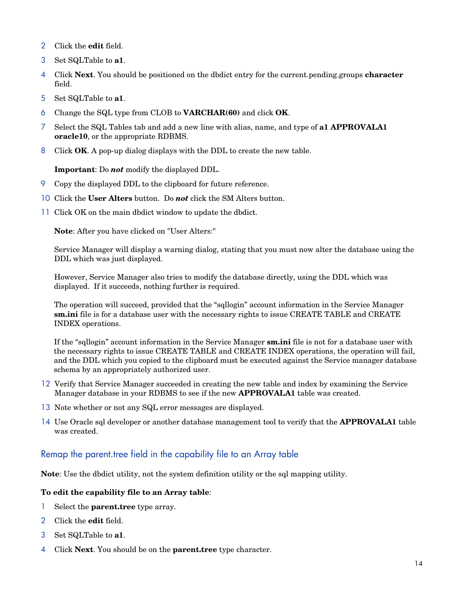- 2 Click the **edit** field.
- 3 Set SQLTable to **a1**.
- 4 Click **Next**. You should be positioned on the dbdict entry for the current.pending.groups **character** field.
- 5 Set SQLTable to **a1**.
- 6 Change the SQL type from CLOB to **VARCHAR(60)** and click **OK**.
- 7 Select the SQL Tables tab and add a new line with alias, name, and type of **a1 APPROVALA1 oracle10**, or the appropriate RDBMS.
- 8 Click **OK**. A pop-up dialog displays with the DDL to create the new table.

**Important**: Do *not* modify the displayed DDL.

- 9 Copy the displayed DDL to the clipboard for future reference.
- 10 Click the **User Alters** button. Do *not* click the SM Alters button.
- 11 Click OK on the main dbdict window to update the dbdict.

**Note**: After you have clicked on "User Alters:"

Service Manager will display a warning dialog, stating that you must now alter the database using the DDL which was just displayed.

However, Service Manager also tries to modify the database directly, using the DDL which was displayed. If it succeeds, nothing further is required.

The operation will succeed, provided that the "sqllogin" account information in the Service Manager **sm.ini** file is for a database user with the necessary rights to issue CREATE TABLE and CREATE INDEX operations.

If the "sqllogin" account information in the Service Manager **sm.ini** file is not for a database user with the necessary rights to issue CREATE TABLE and CREATE INDEX operations, the operation will fail, and the DDL which you copied to the clipboard must be executed against the Service manager database schema by an appropriately authorized user.

- 12 Verify that Service Manager succeeded in creating the new table and index by examining the Service Manager database in your RDBMS to see if the new **APPROVALA1** table was created.
- 13 Note whether or not any SQL error messages are displayed.
- 14 Use Oracle sql developer or another database management tool to verify that the **APPROVALA1** table was created.

### Remap the parent.tree field in the capability file to an Array table

**Note**: Use the dbdict utility, not the system definition utility or the sql mapping utility.

### **To edit the capability file to an Array table**:

- 1 Select the **parent.tree** type array.
- 2 Click the **edit** field.
- 3 Set SQLTable to **a1**.
- 4 Click **Next**. You should be on the **parent.tree** type character.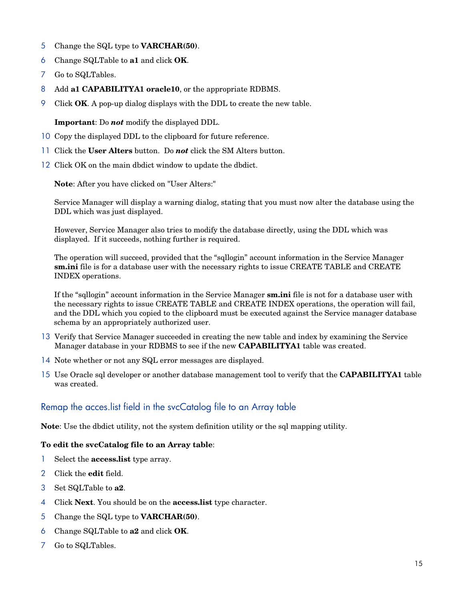- 5 Change the SQL type to **VARCHAR(50)**.
- 6 Change SQLTable to **a1** and click **OK**.
- 7 Go to SQLTables.
- 8 Add **a1 CAPABILITYA1 oracle10**, or the appropriate RDBMS.
- 9 Click **OK**. A pop-up dialog displays with the DDL to create the new table.

**Important**: Do *not* modify the displayed DDL.

- 10 Copy the displayed DDL to the clipboard for future reference.
- 11 Click the **User Alters** button. Do *not* click the SM Alters button.
- 12 Click OK on the main dbdict window to update the dbdict.

**Note**: After you have clicked on "User Alters:"

Service Manager will display a warning dialog, stating that you must now alter the database using the DDL which was just displayed.

However, Service Manager also tries to modify the database directly, using the DDL which was displayed. If it succeeds, nothing further is required.

The operation will succeed, provided that the "sqllogin" account information in the Service Manager **sm.ini** file is for a database user with the necessary rights to issue CREATE TABLE and CREATE INDEX operations.

If the "sqllogin" account information in the Service Manager **sm.ini** file is not for a database user with the necessary rights to issue CREATE TABLE and CREATE INDEX operations, the operation will fail, and the DDL which you copied to the clipboard must be executed against the Service manager database schema by an appropriately authorized user.

- 13 Verify that Service Manager succeeded in creating the new table and index by examining the Service Manager database in your RDBMS to see if the new **CAPABILITYA1** table was created.
- 14 Note whether or not any SQL error messages are displayed.
- 15 Use Oracle sql developer or another database management tool to verify that the **CAPABILITYA1** table was created.

### Remap the acces.list field in the svcCatalog file to an Array table

**Note**: Use the dbdict utility, not the system definition utility or the sql mapping utility.

### **To edit the svcCatalog file to an Array table**:

- 1 Select the **access.list** type array.
- 2 Click the **edit** field.
- 3 Set SQLTable to **a2**.
- 4 Click **Next**. You should be on the **access.list** type character.
- 5 Change the SQL type to **VARCHAR(50)**.
- 6 Change SQLTable to **a2** and click **OK**.
- 7 Go to SQLTables.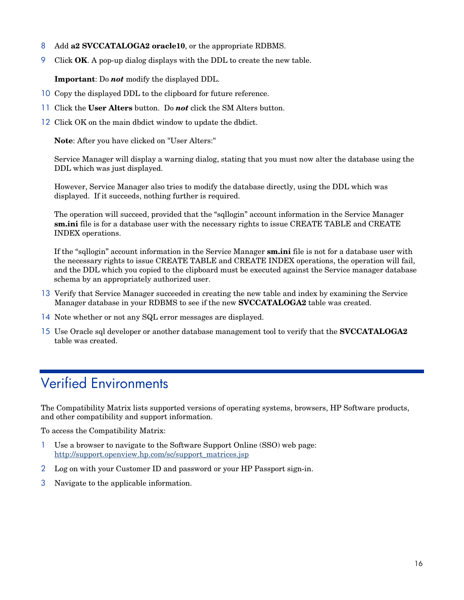- 8 Add **a2 SVCCATALOGA2 oracle10**, or the appropriate RDBMS.
- 9 Click **OK**. A pop-up dialog displays with the DDL to create the new table.

**Important**: Do *not* modify the displayed DDL.

- 10 Copy the displayed DDL to the clipboard for future reference.
- 11 Click the **User Alters** button. Do *not* click the SM Alters button.
- 12 Click OK on the main dbdict window to update the dbdict.

**Note**: After you have clicked on "User Alters:"

Service Manager will display a warning dialog, stating that you must now alter the database using the DDL which was just displayed.

However, Service Manager also tries to modify the database directly, using the DDL which was displayed. If it succeeds, nothing further is required.

The operation will succeed, provided that the "sqllogin" account information in the Service Manager **sm.ini** file is for a database user with the necessary rights to issue CREATE TABLE and CREATE INDEX operations.

If the "sqllogin" account information in the Service Manager **sm.ini** file is not for a database user with the necessary rights to issue CREATE TABLE and CREATE INDEX operations, the operation will fail, and the DDL which you copied to the clipboard must be executed against the Service manager database schema by an appropriately authorized user.

- 13 Verify that Service Manager succeeded in creating the new table and index by examining the Service Manager database in your RDBMS to see if the new **SVCCATALOGA2** table was created.
- 14 Note whether or not any SQL error messages are displayed.
- <span id="page-15-0"></span>15 Use Oracle sql developer or another database management tool to verify that the **SVCCATALOGA2** table was created.

# Verified Environments

The Compatibility Matrix lists supported versions of operating systems, browsers, HP Software products, and other compatibility and support information.

To access the Compatibility Matrix:

- 1 Use a browser to navigate to the Software Support Online (SSO) web page: [http://support.openview.hp.com/sc/support\\_matrices.jsp](http://support.openview.hp.com/sc/support_matrices.jsp)
- 2 Log on with your Customer ID and password or your HP Passport sign-in.
- 3 Navigate to the applicable information.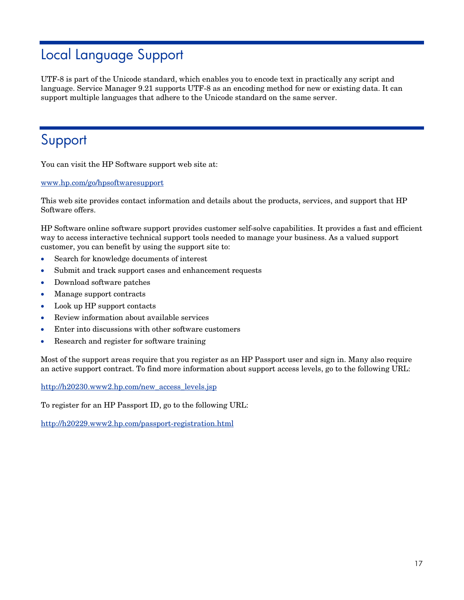# <span id="page-16-0"></span>Local Language Support

UTF-8 is part of the Unicode standard, which enables you to encode text in practically any script and language. Service Manager 9.21 supports UTF-8 as an encoding method for new or existing data. It can support multiple languages that adhere to the Unicode standard on the same server.

# <span id="page-16-1"></span>Support

You can visit the HP Software support web site at:

www.hp.com/go/hpsoftwaresupport

This web site provides contact information and details about the products, services, and support that HP Software offers.

HP Software online software support provides customer self-solve capabilities. It provides a fast and efficient way to access interactive technical support tools needed to manage your business. As a valued support customer, you can benefit by using the support site to:

- Search for knowledge documents of interest
- Submit and track support cases and enhancement requests
- Download software patches
- Manage support contracts
- Look up HP support contacts
- Review information about available services
- Enter into discussions with other software customers
- Research and register for software training

Most of the support areas require that you register as an HP Passport user and sign in. Many also require an active support contract. To find more information about support access levels, go to the following URL:

[http://h20230.www2.hp.com/new\\_access\\_levels.jsp](http://h20230.www2.hp.com/new_access_levels.jsp)

To register for an HP Passport ID, go to the following URL:

<http://h20229.www2.hp.com/passport-registration.html>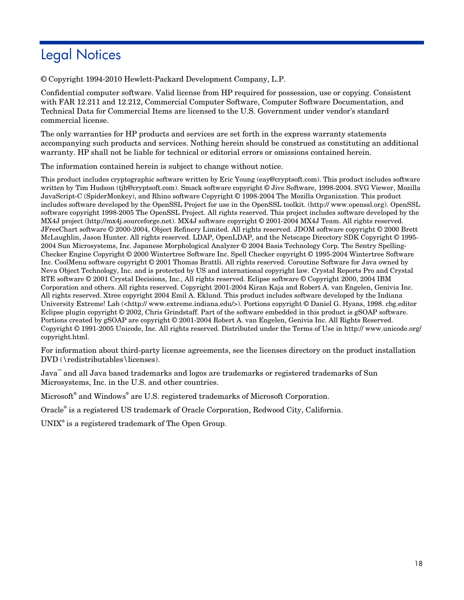# <span id="page-17-0"></span>Legal Notices

© Copyright 1994-2010 Hewlett-Packard Development Company, L.P.

Confidential computer software. Valid license from HP required for possession, use or copying. Consistent with FAR 12.211 and 12.212, Commercial Computer Software, Computer Software Documentation, and Technical Data for Commercial Items are licensed to the U.S. Government under vendor's standard commercial license.

The only warranties for HP products and services are set forth in the express warranty statements accompanying such products and services. Nothing herein should be construed as constituting an additional warranty. HP shall not be liable for technical or editorial errors or omissions contained herein.

The information contained herein is subject to change without notice.

This product includes cryptographic software written by Eric Young (eay@cryptsoft.com). This product includes software written by Tim Hudson (tjh@cryptsoft.com). Smack software copyright © Jive Software, 1998-2004. SVG Viewer, Mozilla JavaScript-C (SpiderMonkey), and Rhino software Copyright © 1998-2004 The Mozilla Organization. This product includes software developed by the OpenSSL Project for use in the OpenSSL toolkit. (http:// www.openssl.org). OpenSSL software copyright 1998-2005 The OpenSSL Project. All rights reserved. This project includes software developed by the MX4J project (http://mx4j.sourceforge.net). MX4J software copyright © 2001-2004 MX4J Team. All rights reserved. JFreeChart software © 2000-2004, Object Refinery Limited. All rights reserved. JDOM software copyright © 2000 Brett McLaughlin, Jason Hunter. All rights reserved. LDAP, OpenLDAP, and the Netscape Directory SDK Copyright © 1995- 2004 Sun Microsystems, Inc. Japanese Morphological Analyzer © 2004 Basis Technology Corp. The Sentry Spelling-Checker Engine Copyright © 2000 Wintertree Software Inc. Spell Checker copyright © 1995-2004 Wintertree Software Inc. CoolMenu software copyright © 2001 Thomas Brattli. All rights reserved. Coroutine Software for Java owned by Neva Object Technology, Inc. and is protected by US and international copyright law. Crystal Reports Pro and Crystal RTE software © 2001 Crystal Decisions, Inc., All rights reserved. Eclipse software © Copyright 2000, 2004 IBM Corporation and others. All rights reserved. Copyright 2001-2004 Kiran Kaja and Robert A. van Engelen, Genivia Inc. All rights reserved. Xtree copyright 2004 Emil A. Eklund. This product includes software developed by the Indiana University Extreme! Lab (<http:// www.extreme.indiana.edu/>). Portions copyright © Daniel G. Hyans, 1998. cbg.editor Eclipse plugin copyright © 2002, Chris Grindstaff. Part of the software embedded in this product is gSOAP software. Portions created by gSOAP are copyright © 2001-2004 Robert A. van Engelen, Genivia Inc. All Rights Reserved. Copyright © 1991-2005 Unicode, Inc. All rights reserved. Distributed under the Terms of Use in http:// www.unicode.org/ copyright.html.

For information about third-party license agreements, see the licenses directory on the product installation DVD (\redistributables\licenses).

Java™ and all Java based trademarks and logos are trademarks or registered trademarks of Sun Microsystems, Inc. in the U.S. and other countries.

Microsoft® and Windows® are U.S. registered trademarks of Microsoft Corporation.

Oracle® is a registered US trademark of Oracle Corporation, Redwood City, California.

UNIX<sup>®</sup> is a registered trademark of The Open Group.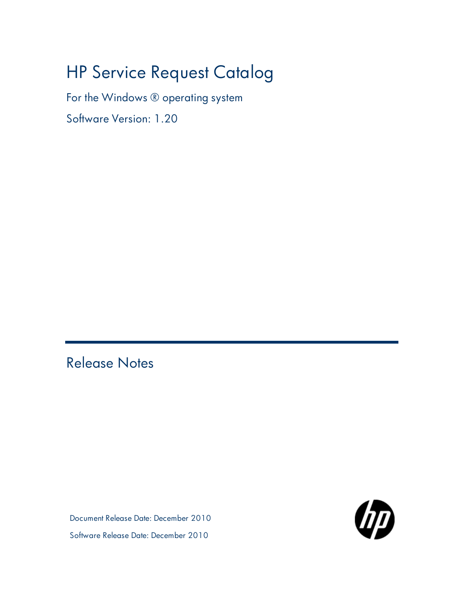# HP Service Request Catalog

For the Windows ® operating system

Software Version: 1.20

<span id="page-18-0"></span>Release Notes

Document Release Date: December 2010 Software Release Date: December 2010

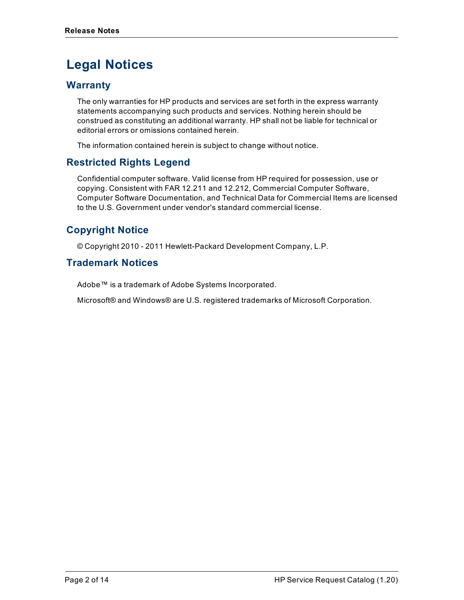# **Legal Notices**

## **Warranty**

The only warranties for HP products and services are set forth in the express warranty statements accompanying such products and services. Nothing herein should be construed as constituting an additional warranty. HP shall not be liable for technical or editorial errors or omissions contained herein.

The information contained herein is subject to change without notice.

## **Restricted Rights Legend**

Confidential computer software. Valid license from HP required for possession, use or copying. Consistent with FAR 12.211 and 12.212, Commercial Computer Software, Computer Software Documentation, and Technical Data for Commercial Items are licensed to the U.S. Government under vendor's standard commercial license.

## **Copyright Notice**

© Copyright 2010 - 2011 Hewlett-Packard Development Company, L.P.

## **Trademark Notices**

Adobe™ is a trademark of Adobe Systems Incorporated.

Microsoft® and Windows® are U.S. registered trademarks of Microsoft Corporation.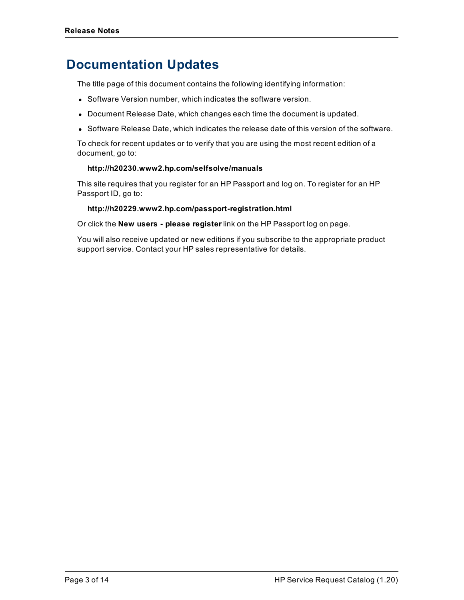## **Documentation Updates**

The title page of this document contains the following identifying information:

- Software Version number, which indicates the software version.
- Document Release Date, which changes each time the document is updated.
- Software Release Date, which indicates the release date of this version of the software.

To check for recent updates or to verify that you are using the most recent edition of a document, go to:

#### **http://h20230.www2.hp.com/selfsolve/manuals**

This site requires that you register for an HP Passport and log on. To register for an HP Passport ID, go to:

#### **http://h20229.www2.hp.com/passport-registration.html**

Or click the **New users - please register** link on the HP Passport log on page.

You will also receive updated or new editions if you subscribe to the appropriate product support service. Contact your HP sales representative for details.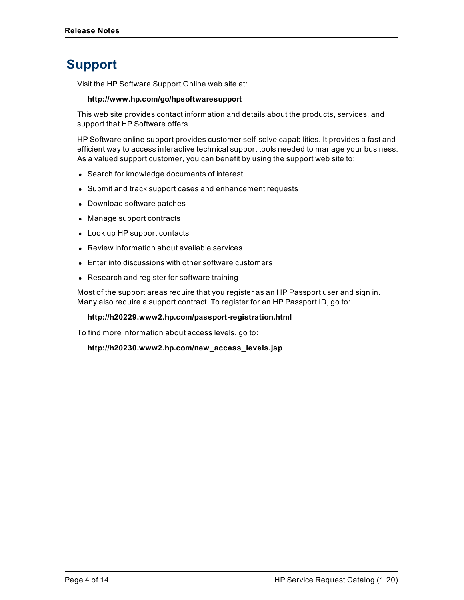# **Support**

Visit the HP Software Support Online web site at:

### **http://www.hp.com/go/hpsoftwaresupport**

This web site provides contact information and details about the products, services, and support that HP Software offers.

HP Software online support provides customer self-solve capabilities. It provides a fast and efficient way to access interactive technical support tools needed to manage your business. As a valued support customer, you can benefit by using the support web site to:

- Search for knowledge documents of interest
- Submit and track support cases and enhancement requests
- Download software patches
- Manage support contracts
- Look up HP support contacts
- Review information about available services
- Enter into discussions with other software customers
- Research and register for software training

Most of the support areas require that you register as an HP Passport user and sign in. Many also require a support contract. To register for an HP Passport ID, go to:

### **http://h20229.www2.hp.com/passport-registration.html**

To find more information about access levels, go to:

**http://h20230.www2.hp.com/new\_access\_levels.jsp**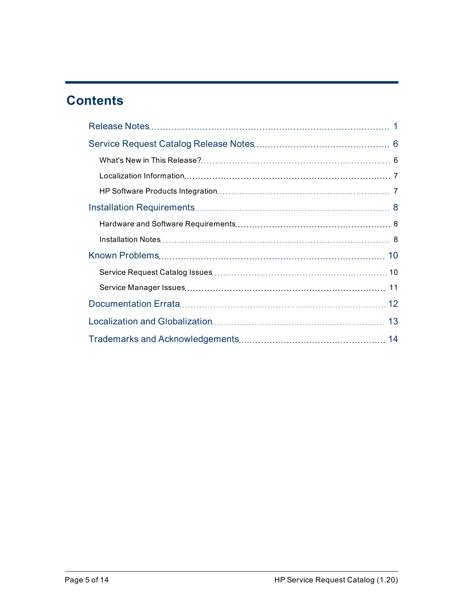# **Contents**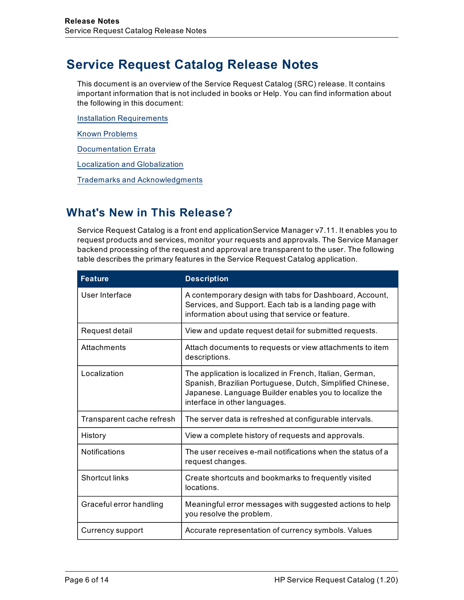# <span id="page-23-0"></span>**Service Request Catalog Release Notes**

This document is an overview of the Service Request Catalog (SRC) release. It contains important information that is not included in books or Help. You can find information about the following in this document:

[Installation](#page-25-1) [Requirements](#page-25-1)

[Known](#page-27-0) [Problems](#page-27-0)

[Documentation](#page-29-0) [Errata](#page-29-0)

[Localization](#page-30-0) [and](#page-30-0) [Globalization](#page-30-0)

[Trademarks](#page-31-0) [and](#page-31-0) [Acknowledgments](#page-31-0)

## <span id="page-23-1"></span>**What's New in This Release?**

Service Request Catalog is a front end applicationService Manager v7.11. It enables you to request products and services, monitor your requests and approvals. The Service Manager backend processing of the request and approval are transparent to the user. The following table describes the primary features in the Service Request Catalog application.

| <b>Feature</b>            | <b>Description</b>                                                                                                                                                                                               |
|---------------------------|------------------------------------------------------------------------------------------------------------------------------------------------------------------------------------------------------------------|
| User Interface            | A contemporary design with tabs for Dashboard, Account,<br>Services, and Support. Each tab is a landing page with<br>information about using that service or feature.                                            |
| Request detail            | View and update request detail for submitted requests.                                                                                                                                                           |
| Attachments               | Attach documents to requests or view attachments to item<br>descriptions.                                                                                                                                        |
| Localization              | The application is localized in French, Italian, German,<br>Spanish, Brazilian Portuguese, Dutch, Simplified Chinese,<br>Japanese. Language Builder enables you to localize the<br>interface in other languages. |
| Transparent cache refresh | The server data is refreshed at configurable intervals.                                                                                                                                                          |
| History                   | View a complete history of requests and approvals.                                                                                                                                                               |
| <b>Notifications</b>      | The user receives e-mail notifications when the status of a<br>request changes.                                                                                                                                  |
| Shortcut links            | Create shortcuts and bookmarks to frequently visited<br>locations.                                                                                                                                               |
| Graceful error handling   | Meaningful error messages with suggested actions to help<br>you resolve the problem.                                                                                                                             |
| Currency support          | Accurate representation of currency symbols. Values                                                                                                                                                              |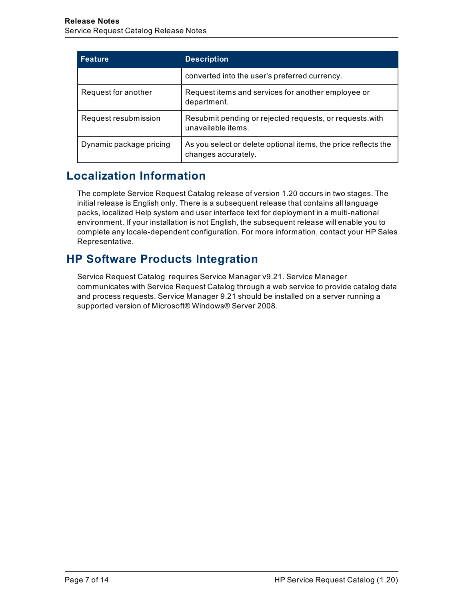| <b>Feature</b>          | <b>Description</b>                                                                    |
|-------------------------|---------------------------------------------------------------------------------------|
|                         | converted into the user's preferred currency.                                         |
| Request for another     | Request items and services for another employee or<br>department.                     |
| Request resubmission    | Resubmit pending or rejected requests, or requests with<br>unavailable items.         |
| Dynamic package pricing | As you select or delete optional items, the price reflects the<br>changes accurately. |

## <span id="page-24-0"></span>**Localization Information**

The complete Service Request Catalog release of version 1.20 occurs in two stages. The initial release is English only. There is a subsequent release that contains all language packs, localized Help system and user interface text for deployment in a multi-national environment. If your installation is not English, the subsequent release will enable you to complete any locale-dependent configuration. For more information, contact your HP Sales Representative.

## <span id="page-24-1"></span>**HP Software Products Integration**

Service Request Catalog requires Service Manager v9.21. Service Manager communicates with Service Request Catalog through a web service to provide catalog data and process requests. Service Manager 9.21 should be installed on a server running a supported version of Microsoft® Windows® Server 2008.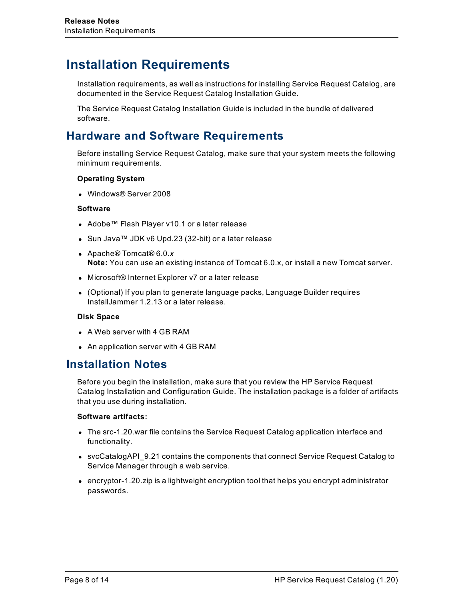## <span id="page-25-0"></span>**Installation Requirements**

Installation requirements, as well as instructions for installing Service Request Catalog, are documented in the Service Request Catalog Installation Guide.

The Service Request Catalog Installation Guide is included in the bundle of delivered software.

## <span id="page-25-1"></span>**Hardware and Software Requirements**

Before installing Service Request Catalog, make sure that your system meets the following minimum requirements.

### **Operating System**

**.** Windows® Server 2008

### **Software**

- Adobe™ Flash Player v10.1 or a later release
- Sun Java™ JDK v6 Upd.23 (32-bit) or a later release
- <sup>l</sup> Apache® Tomcat® 6.0.*x* **Note:** You can use an existing instance of Tomcat 6.0.x, or install a new Tomcat server.
- Microsoft® Internet Explorer v7 or a later release
- (Optional) If you plan to generate language packs, Language Builder requires InstallJammer 1.2.13 or a later release.

### **Disk Space**

- $\bullet$  A Web server with 4 GB RAM
- <span id="page-25-2"></span>• An application server with 4 GB RAM

## **Installation Notes**

Before you begin the installation, make sure that you review the HP Service Request Catalog Installation and Configuration Guide. The installation package is a folder of artifacts that you use during installation.

### **Software artifacts:**

- The src-1.20 war file contains the Service Request Catalog application interface and functionality.
- svcCatalogAPI\_9.21 contains the components that connect Service Request Catalog to Service Manager through a web service.
- $\bullet$  encryptor-1.20.zip is a lightweight encryption tool that helps you encrypt administrator passwords.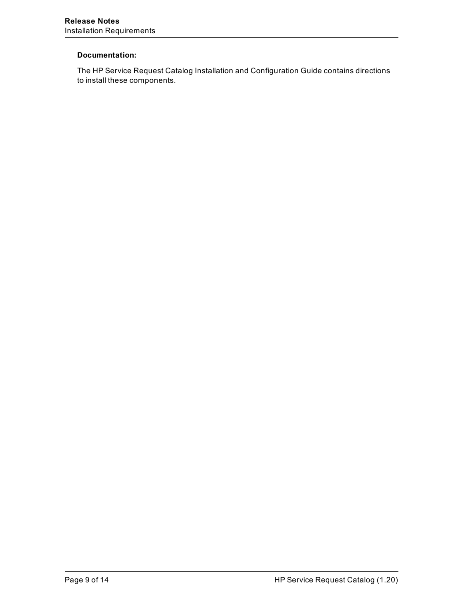### **Documentation:**

The HP Service Request Catalog Installation and Configuration Guide contains directions to install these components.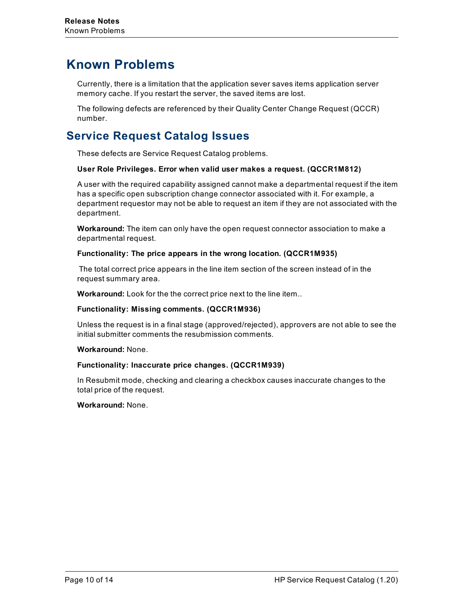## <span id="page-27-0"></span>**Known Problems**

Currently, there is a limitation that the application sever saves items application server memory cache. If you restart the server, the saved items are lost.

The following defects are referenced by their Quality Center Change Request (QCCR) number.

## <span id="page-27-1"></span>**Service Request Catalog Issues**

These defects are Service Request Catalog problems.

### **User Role Privileges. Error when valid user makes a request. (QCCR1M812)**

A user with the required capability assigned cannot make a departmental request if the item has a specific open subscription change connector associated with it. For example, a department requestor may not be able to request an item if they are not associated with the department.

**Workaround:** The item can only have the open request connector association to make a departmental request.

#### **Functionality: The price appears in the wrong location. (QCCR1M935)**

The total correct price appears in the line item section of the screen instead of in the request summary area.

**Workaround:** Look for the the correct price next to the line item..

#### **Functionality: Missing comments. (QCCR1M936)**

Unless the request is in a final stage (approved/rejected), approvers are not able to see the initial submitter comments the resubmission comments.

#### **Workaround:** None.

### **Functionality: Inaccurate price changes. (QCCR1M939)**

In Resubmit mode, checking and clearing a checkbox causes inaccurate changes to the total price of the request.

### **Workaround:** None.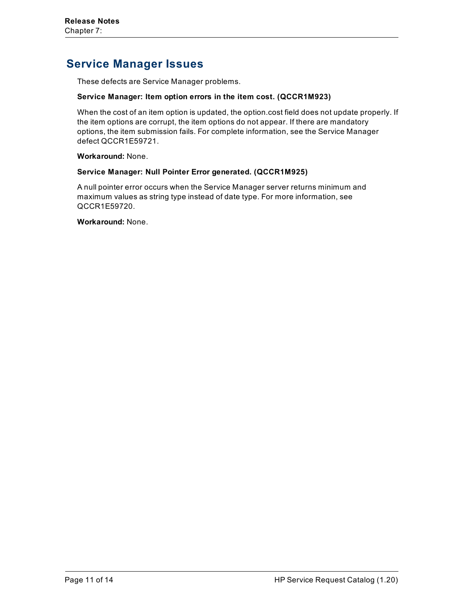## <span id="page-28-0"></span>**Service Manager Issues**

These defects are Service Manager problems.

#### **Service Manager: Item option errors in the item cost. (QCCR1M923)**

When the cost of an item option is updated, the option.cost field does not update properly. If the item options are corrupt, the item options do not appear. If there are mandatory options, the item submission fails. For complete information, see the Service Manager defect QCCR1E59721.

**Workaround:** None.

### **Service Manager: Null Pointer Error generated. (QCCR1M925)**

A null pointer error occurs when the Service Manager server returns minimum and maximum values as string type instead of date type. For more information, see QCCR1E59720.

**Workaround:** None.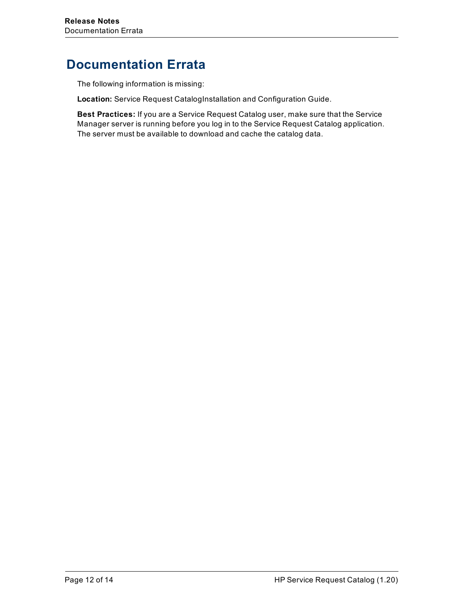# <span id="page-29-0"></span>**Documentation Errata**

The following information is missing:

**Location:** Service Request CatalogInstallation and Configuration Guide.

**Best Practices:** If you are a Service Request Catalog user, make sure that the Service Manager server is running before you log in to the Service Request Catalog application. The server must be available to download and cache the catalog data.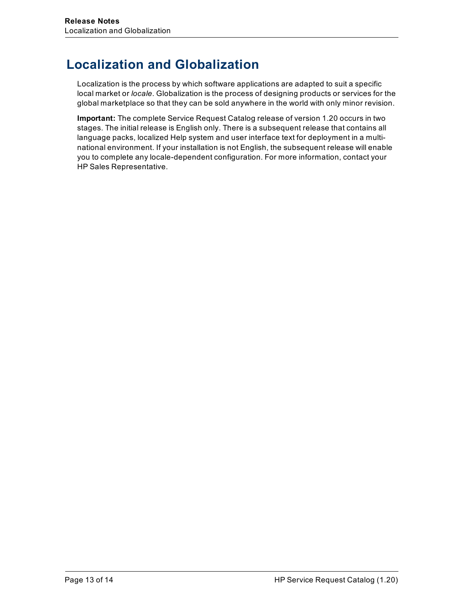# <span id="page-30-0"></span>**Localization and Globalization**

Localization is the process by which software applications are adapted to suit a specific local market or *locale*. Globalization is the process of designing products or services for the global marketplace so that they can be sold anywhere in the world with only minor revision.

**Important:** The complete Service Request Catalog release of version 1.20 occurs in two stages. The initial release is English only. There is a subsequent release that contains all language packs, localized Help system and user interface text for deployment in a multinational environment. If your installation is not English, the subsequent release will enable you to complete any locale-dependent configuration. For more information, contact your HP Sales Representative.